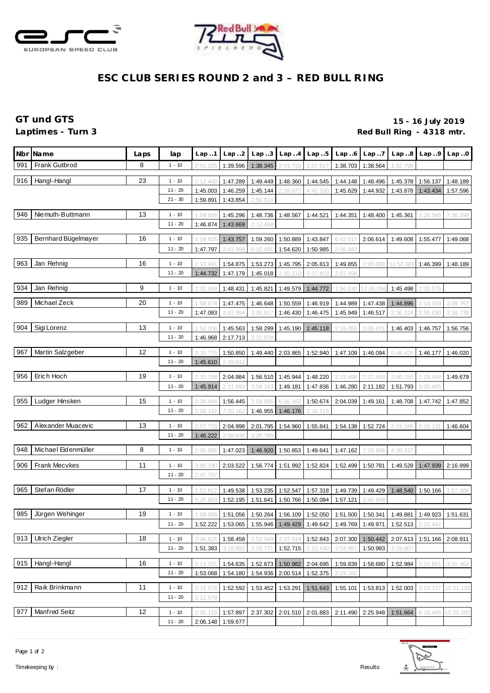



# **ESC CLUB SERIES ROUND 2 and 3 – RED BULL RING**

### **GT und GTS 15 - 16 July 2019** Red Bull Ring - 4318 mtr.

|                                                                                                                                    | Nbr Name              | Laps | lap       | Lap.1    | Lap.2                         | Lap.3    | Lap.4    | Lap.5    | Lap.6    | Lap.7    | Lap.8                                                                                     | Lap.9             | Lap.0     |
|------------------------------------------------------------------------------------------------------------------------------------|-----------------------|------|-----------|----------|-------------------------------|----------|----------|----------|----------|----------|-------------------------------------------------------------------------------------------|-------------------|-----------|
| Frank Gutbrod<br>8<br>991<br>$1 - 10$<br>1:39.596<br>1:38.345<br>2:57.517<br>1:38.703 1:38.564<br>2:01.225<br>2:43.733<br>1:52.798 |                       |      |           |          |                               |          |          |          |          |          |                                                                                           |                   |           |
| 916                                                                                                                                | Hangl-Hangl           | 23   | $1 - 10$  | 2:12.440 | 1:47.289                      | 1:49.449 | 1:48.360 | 1:44.545 | 1:44.148 | 1:48.496 | 1:45.378                                                                                  | 1:56.137          | 1:48.189  |
|                                                                                                                                    |                       |      | $11 - 20$ | 1:45.003 | 1:46.259                      | 1:45.144 | 2:09.877 | 4:45.330 | 1:45.629 | 1:44.932 |                                                                                           | 1:43.878 1:43.434 | 1:57.596  |
|                                                                                                                                    |                       |      | $21 - 30$ | 1:59.891 | 1:43.854                      | 2:56.913 |          |          |          |          |                                                                                           |                   |           |
| 946                                                                                                                                | Nie muth-Buttmann     | 13   | $1 - 10$  | 1:59.605 | 1:45.296                      | 1:48.736 | 1:48.567 | 1:44.521 | 1:44.351 | 1:48.400 | 1:45.361                                                                                  | 2:26.945          | 7:36.199  |
|                                                                                                                                    |                       |      | $11 - 20$ | 1:46.874 | 1:43.669                      | 2:13.654 |          |          |          |          |                                                                                           |                   |           |
| 935                                                                                                                                | Bernhard Bügelmayer   | 16   | $1 - 10$  | 2:09.825 | 1:43.757                      | 1:59.260 | 1:50.889 | 1:43.847 | 6:42.817 | 2:06.614 | 1:49.608                                                                                  | 1:55.477          | 1:49.068  |
|                                                                                                                                    |                       |      | $11 - 20$ | 1:47.797 | 2:41.999                      | 6:15.491 | 1:54.620 | 1:50.985 | 2:56.687 |          |                                                                                           |                   |           |
| 963                                                                                                                                | Jan Rehnig            | 16   | $1 - 10$  | 2:13.44' | 1:54.875                      | 1:53.273 | 1:45.795 | 2:05.813 | 1:49.855 | 2:05.088 | 11:52.681                                                                                 | 1:46.399          | 1:48.189  |
|                                                                                                                                    |                       |      | $11 - 20$ | 1:44.732 | 1:47.179                      | 1:45.018 | 2:10.210 | 5:17.413 | 2:57.408 |          |                                                                                           |                   |           |
| 934                                                                                                                                | Jan Rehnig            | 9    | $1 - 10$  | 2:02.649 | 1:48.431                      | 1:45.821 | 1:49.579 | 1:44.772 | 1:56.630 | 17:55.05 | 1:45.498                                                                                  | 2:05.575          |           |
| 989                                                                                                                                | Michael Zeck          | 20   | $1 - 10$  | 1:58.67  | 1:47.475                      | 1:46.648 | 1:50.559 | 1:46.919 | 1:44.989 | 1:47.438 | 1:44.896                                                                                  | 2:14.019          | 2:09.767  |
|                                                                                                                                    |                       |      | $11 - 20$ | 1:47.083 | 2:02.994                      | 3:08.917 | 1:46.430 | 1:46.475 | 1:45.949 | 1:46.517 | 2:36.224                                                                                  | 2:55.630          | 2:18.739  |
| 904                                                                                                                                | Sigi Lorenz           | 13   | $1 - 10$  | 1:50.20( | 1:45.563                      | 1:58.299 | 1:45.190 | 1:45.118 | 2:16.055 | 3:05.42  | 1:46.403                                                                                  | 1:46.757          | 1:56.756  |
|                                                                                                                                    |                       |      | $11 - 20$ | 1:46.968 | 2:17.713                      | 2:21.074 |          |          |          |          |                                                                                           |                   |           |
| 967                                                                                                                                | Martin Salzgeber      | 12   | $1 - 10$  | 2:10.    | 1:50.850                      | 1:49.440 | 2:03.865 | 1:52.940 | 1:47.109 | 1:46.094 | 5:48.425                                                                                  | 1:46.177          | 1:46.020  |
|                                                                                                                                    |                       |      | $11 - 20$ | 1:45.610 | 2:39.611                      |          |          |          |          |          |                                                                                           |                   |           |
| 956                                                                                                                                | Erich Hoch            | 19   | $1 - 10$  | 2:33.18  | 2:04.984                      | 1:56.510 | 1:45.944 | 1:48.220 | 2:15.498 | 2:27.459 | 2:00.255                                                                                  | 2:19.449          | 1:49.679  |
|                                                                                                                                    |                       |      | $11 - 20$ | 1:45.914 | 2:11.993                      | 3:58.183 | 1:49.181 | 1:47.836 | 1:46.280 | 2:11.182 | 1:51.793                                                                                  | 3:00.485          |           |
| 955                                                                                                                                | Ludger Hinsken        | 15   | $1 - 10$  | 2:08.40  | 1:56.445                      | 2:09.955 | 6:16.    | 1:50.674 | 2:04.039 | 1:49.161 | 1:48.708                                                                                  | 1:47.742          | 1:47.852  |
|                                                                                                                                    |                       |      | $11 - 20$ | 2:09.13  | 7:55                          | 1:46.955 | 1:46.176 | 2:16.115 |          |          |                                                                                           |                   |           |
| 962                                                                                                                                | Alexander Muacevic    | 13   | $1 - 10$  | 2:07     | 2:04.998                      | 2:01.795 | 1:54.960 | 1:55.841 | 1:54.138 | 1:52.724 | 2:24.185                                                                                  | 5:26.13'          | 1:46.604  |
|                                                                                                                                    |                       |      | $11 - 20$ | 1:46.222 | 2:08<br>.636                  | 3:20.790 |          |          |          |          |                                                                                           |                   |           |
| 948                                                                                                                                | Michael Eidenmüller   | 8    | $1 - 10$  |          |                               |          |          | 1:49.641 |          | 2:28.846 |                                                                                           |                   |           |
|                                                                                                                                    |                       |      |           | 2:00.666 | 1:47.023                      | 1:46.920 | 1:50.853 |          | 1:47.162 |          | 4:20.317                                                                                  |                   |           |
| 906                                                                                                                                | Frank Mecvkes         | 11   | $1 - 10$  | 3:00.180 | 2:03.522                      | 1:56.774 | 1:51.992 | 1:52.824 | 1:52.499 | 1:50.781 | 1:49.528                                                                                  | 1:47.939          | 2:16.999  |
|                                                                                                                                    |                       |      | $11 - 20$ | 2:47.70  |                               |          |          |          |          |          |                                                                                           |                   |           |
| 965                                                                                                                                | Stefan Rödler         | 17   | $1 - 10$  | 1:52.612 | 1:49.538                      | 1:53.235 | 1:52.547 | 1:57.318 | 1:49.739 | 1:49.429 | 1:48.540                                                                                  | 1:50.166          | 1:57.308  |
|                                                                                                                                    |                       |      | $11 - 20$ | 5:26.86  | 1:52.195                      | 1:51.641 | 1:50.766 | 1:50.084 | 1:57.121 | 2:45.948 |                                                                                           |                   |           |
|                                                                                                                                    | 985 Jürgen Wehinger   | 19   | $1 - 10$  |          |                               |          |          |          |          |          | 1:59.068 1:51.056 1:50.264 1:56.109 1:52.050 1:51.500 1:50.341 1:49.881 1:49.923 1:51.631 |                   |           |
|                                                                                                                                    |                       |      | $11 - 20$ | 1:52.222 | 1:53.065                      | 1:55.946 | 1:49.429 | 1:49.642 | 1:49.769 | 1:49.971 | 1:52.513                                                                                  | 2:23.447          |           |
| 913                                                                                                                                | <b>Ulrich Ziegler</b> | 18   | $1 - 10$  | 2:06.62  | 1:58.458                      | 2:53.549 | 2:27.519 | 1:52.843 | 2:07.300 | 1:50.442 | 2:07.613                                                                                  | 1:51.166          | 2:08.911  |
|                                                                                                                                    |                       |      | $11 - 20$ | 1:51.383 | 3:16.892                      | 2:28.77' | 1:52.715 | 2:12.440 | 3:54.961 | 1:50.983 | 2:19.807                                                                                  |                   |           |
|                                                                                                                                    | 915   Hangl-Hangl     | 16   | $1 - 10$  | 2:13.20' | 1:54.635                      | 1:52.673 | 1:50.982 | 2:04.695 | 1:59.839 | 1:58.680 | 1:52.984                                                                                  | 2:21.60           | 3:31.462  |
|                                                                                                                                    |                       |      | $11 - 20$ | 1:53.068 | 1:54.180                      | 1:54.936 | 2:00.514 | 1:52.375 | 2:19.282 |          |                                                                                           |                   |           |
| 912                                                                                                                                | Raik Brinkmann        | 11   | $1 - 10$  | 2:19.078 | 1:52.592                      | 1:53.452 | 1:53.291 | 1:51.643 | 1:55.101 | 1:53.813 | 1:52.003                                                                                  | 2:23.727          | 11:21.132 |
|                                                                                                                                    |                       |      | $11 - 20$ | 2:11.579 |                               |          |          |          |          |          |                                                                                           |                   |           |
| 977                                                                                                                                | Manfred Seitz         | 12   | $1 - 10$  |          |                               | 2:37.302 | 2:01.510 | 2:01.883 | 2:11.490 |          |                                                                                           |                   |           |
|                                                                                                                                    |                       |      | $11 - 20$ | 2:05.115 | 1:57.897<br>2:06.148 1:59.677 |          |          |          |          | 2:25.948 | 1:51.664                                                                                  | 6:18.445          | 12:23.092 |